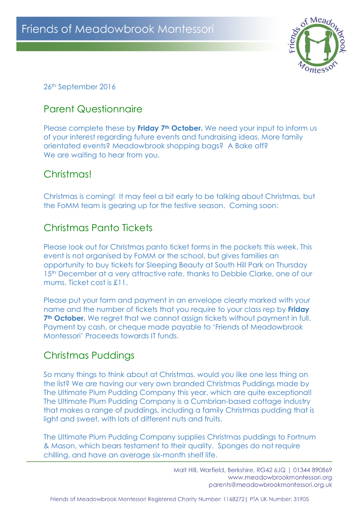

26th September 2016

#### Parent Questionnaire

Please complete these by **Friday 7th October.** We need your input to inform us of your interest regarding future events and fundraising ideas. More family orientated events? Meadowbrook shopping bags? A Bake off? We are waiting to hear from you.

#### Christmas!

Christmas is coming! It may feel a bit early to be talking about Christmas, but the FoMM team is gearing up for the festive season. Coming soon:

### Christmas Panto Tickets

Please look out for Christmas panto ticket forms in the pockets this week. This event is not organised by FoMM or the school, but gives families an opportunity to buy tickets for Sleeping Beauty at South Hill Park on Thursday 15<sup>th</sup> December at a very attractive rate, thanks to Debbie Clarke, one of our mums. Ticket cost is £11.

Please put your form and payment in an envelope clearly marked with your name and the number of tickets that you require to your class rep by **Friday 7th October.** We regret that we cannot assign tickets without payment in full. Payment by cash, or cheque made payable to 'Friends of Meadowbrook Montessori' Proceeds towards IT funds.

# Christmas Puddings

So many things to think about at Christmas, would you like one less thing on the list? We are having our very own branded Christmas Puddings made by The Ultimate Plum Pudding Company this year, which are quite exceptional! The Ultimate Plum Pudding Company is a Cumbrian-based cottage industry that makes a range of puddings, including a family Christmas pudding that is light and sweet, with lots of different nuts and fruits.

The Ultimate Plum Pudding Company supplies Christmas puddings to Fortnum & Mason, which bears testament to their quality. Sponges do not require chilling, and have an average six-month shelf life.